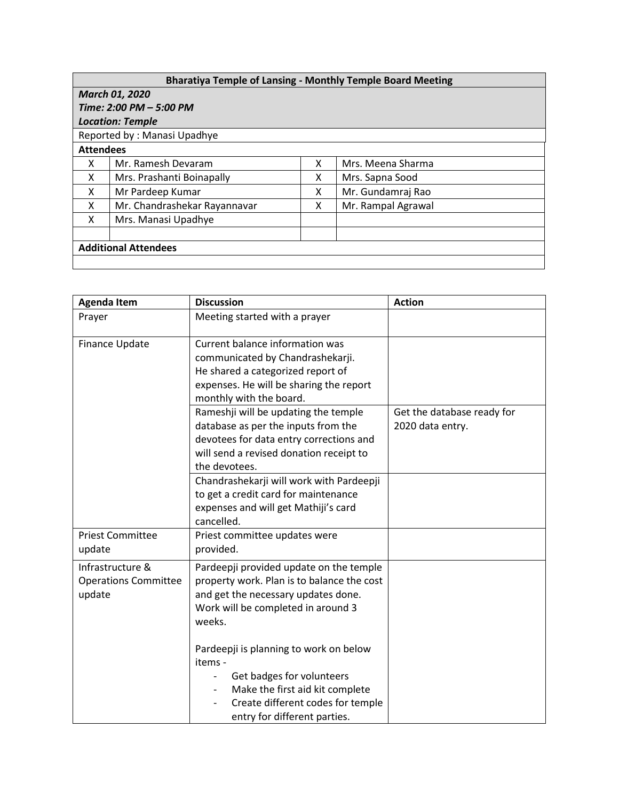| <b>Bharatiya Temple of Lansing - Monthly Temple Board Meeting</b> |                              |   |                    |  |  |
|-------------------------------------------------------------------|------------------------------|---|--------------------|--|--|
| <b>March 01, 2020</b>                                             |                              |   |                    |  |  |
| Time: 2:00 PM - 5:00 PM                                           |                              |   |                    |  |  |
| <b>Location: Temple</b>                                           |                              |   |                    |  |  |
| Reported by: Manasi Upadhye                                       |                              |   |                    |  |  |
| <b>Attendees</b>                                                  |                              |   |                    |  |  |
| x                                                                 | Mr. Ramesh Devaram           | X | Mrs. Meena Sharma  |  |  |
| X                                                                 | Mrs. Prashanti Boinapally    | X | Mrs. Sapna Sood    |  |  |
| X                                                                 | Mr Pardeep Kumar             | x | Mr. Gundamraj Rao  |  |  |
| X                                                                 | Mr. Chandrashekar Rayannavar | X | Mr. Rampal Agrawal |  |  |
| X                                                                 | Mrs. Manasi Upadhye          |   |                    |  |  |
|                                                                   |                              |   |                    |  |  |
| <b>Additional Attendees</b>                                       |                              |   |                    |  |  |
|                                                                   |                              |   |                    |  |  |

| <b>Agenda Item</b>                                        | <b>Discussion</b>                                                                                                                                                                                                      | <b>Action</b>              |
|-----------------------------------------------------------|------------------------------------------------------------------------------------------------------------------------------------------------------------------------------------------------------------------------|----------------------------|
| Prayer                                                    | Meeting started with a prayer                                                                                                                                                                                          |                            |
| Finance Update                                            | Current balance information was<br>communicated by Chandrashekarji.<br>He shared a categorized report of<br>expenses. He will be sharing the report<br>monthly with the board.<br>Rameshji will be updating the temple | Get the database ready for |
|                                                           | database as per the inputs from the<br>devotees for data entry corrections and<br>will send a revised donation receipt to<br>the devotees.                                                                             | 2020 data entry.           |
|                                                           | Chandrashekarji will work with Pardeepji<br>to get a credit card for maintenance<br>expenses and will get Mathiji's card<br>cancelled.                                                                                 |                            |
| <b>Priest Committee</b><br>update                         | Priest committee updates were<br>provided.                                                                                                                                                                             |                            |
| Infrastructure &<br><b>Operations Committee</b><br>update | Pardeepji provided update on the temple<br>property work. Plan is to balance the cost<br>and get the necessary updates done.<br>Work will be completed in around 3<br>weeks.                                           |                            |
|                                                           | Pardeepji is planning to work on below<br>items -<br>Get badges for volunteers<br>Make the first aid kit complete<br>Create different codes for temple<br>entry for different parties.                                 |                            |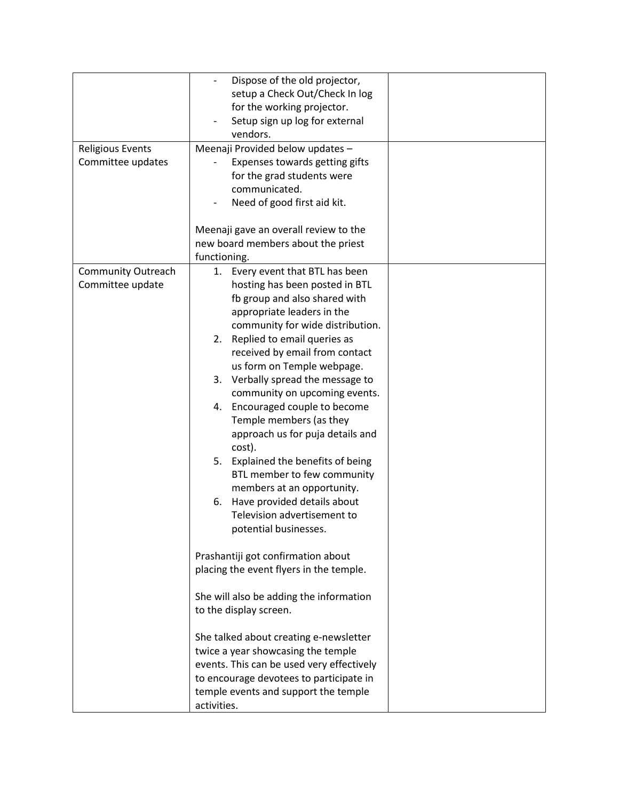| <b>Religious Events</b><br>Committee updates  | Dispose of the old projector,<br>setup a Check Out/Check In log<br>for the working projector.<br>Setup sign up log for external<br>vendors.<br>Meenaji Provided below updates -<br>Expenses towards getting gifts<br>for the grad students were<br>communicated.                                                                                                                                                                                                                                                                                                                                                                                                                                                                          |  |
|-----------------------------------------------|-------------------------------------------------------------------------------------------------------------------------------------------------------------------------------------------------------------------------------------------------------------------------------------------------------------------------------------------------------------------------------------------------------------------------------------------------------------------------------------------------------------------------------------------------------------------------------------------------------------------------------------------------------------------------------------------------------------------------------------------|--|
|                                               | Need of good first aid kit.                                                                                                                                                                                                                                                                                                                                                                                                                                                                                                                                                                                                                                                                                                               |  |
|                                               | Meenaji gave an overall review to the<br>new board members about the priest<br>functioning.                                                                                                                                                                                                                                                                                                                                                                                                                                                                                                                                                                                                                                               |  |
| <b>Community Outreach</b><br>Committee update | 1. Every event that BTL has been<br>hosting has been posted in BTL<br>fb group and also shared with<br>appropriate leaders in the<br>community for wide distribution.<br>2. Replied to email queries as<br>received by email from contact<br>us form on Temple webpage.<br>3. Verbally spread the message to<br>community on upcoming events.<br>4. Encouraged couple to become<br>Temple members (as they<br>approach us for puja details and<br>cost).<br>5. Explained the benefits of being<br>BTL member to few community<br>members at an opportunity.<br>Have provided details about<br>6.<br>Television advertisement to<br>potential businesses.<br>Prashantiji got confirmation about<br>placing the event flyers in the temple. |  |
|                                               | She will also be adding the information<br>to the display screen.                                                                                                                                                                                                                                                                                                                                                                                                                                                                                                                                                                                                                                                                         |  |
|                                               | She talked about creating e-newsletter<br>twice a year showcasing the temple<br>events. This can be used very effectively<br>to encourage devotees to participate in<br>temple events and support the temple<br>activities.                                                                                                                                                                                                                                                                                                                                                                                                                                                                                                               |  |